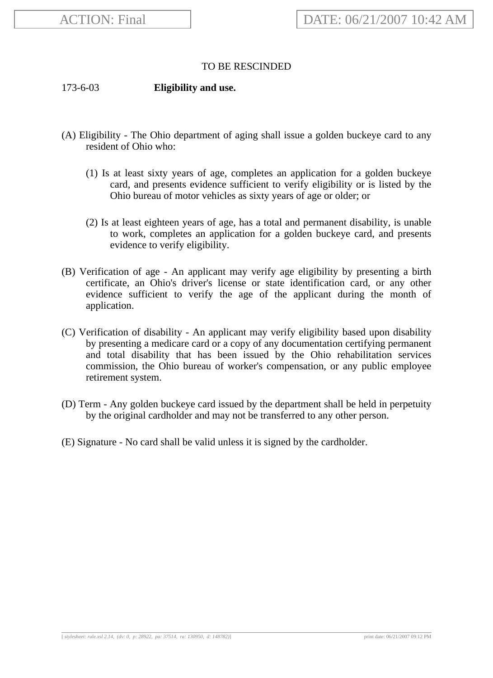## TO BE RESCINDED

173-6-03 **Eligibility and use.**

- (A) Eligibility The Ohio department of aging shall issue a golden buckeye card to any resident of Ohio who:
	- (1) Is at least sixty years of age, completes an application for a golden buckeye card, and presents evidence sufficient to verify eligibility or is listed by the Ohio bureau of motor vehicles as sixty years of age or older; or
	- (2) Is at least eighteen years of age, has a total and permanent disability, is unable to work, completes an application for a golden buckeye card, and presents evidence to verify eligibility.
- (B) Verification of age An applicant may verify age eligibility by presenting a birth certificate, an Ohio's driver's license or state identification card, or any other evidence sufficient to verify the age of the applicant during the month of application.
- (C) Verification of disability An applicant may verify eligibility based upon disability by presenting a medicare card or a copy of any documentation certifying permanent and total disability that has been issued by the Ohio rehabilitation services commission, the Ohio bureau of worker's compensation, or any public employee retirement system.
- (D) Term Any golden buckeye card issued by the department shall be held in perpetuity by the original cardholder and may not be transferred to any other person.
- (E) Signature No card shall be valid unless it is signed by the cardholder.